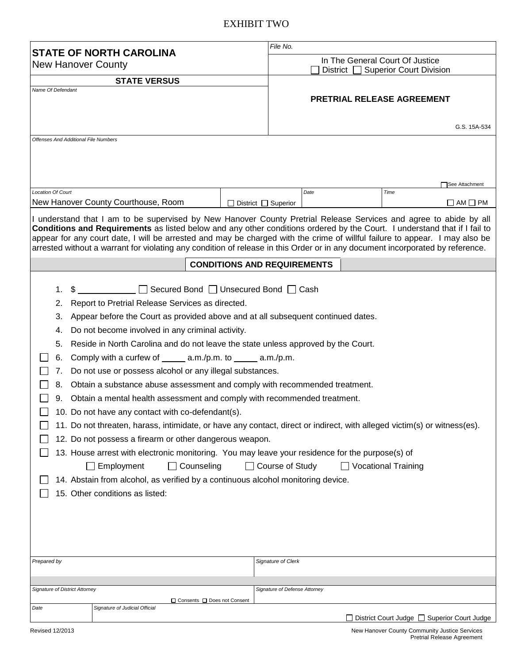## EXHIBIT TWO

| <b>STATE OF NORTH CAROLINA</b><br><b>New Hanover County</b><br><b>STATE VERSUS</b>                                                                                                                                                                                                                                                                                                                                                                                                                                                                                                                                                                                                                                                                                                                                                                                                                                                                                                                                                                                                                                                                                                                                                                     |                          | File No.                                    |      |                                  |
|--------------------------------------------------------------------------------------------------------------------------------------------------------------------------------------------------------------------------------------------------------------------------------------------------------------------------------------------------------------------------------------------------------------------------------------------------------------------------------------------------------------------------------------------------------------------------------------------------------------------------------------------------------------------------------------------------------------------------------------------------------------------------------------------------------------------------------------------------------------------------------------------------------------------------------------------------------------------------------------------------------------------------------------------------------------------------------------------------------------------------------------------------------------------------------------------------------------------------------------------------------|--------------------------|---------------------------------------------|------|----------------------------------|
|                                                                                                                                                                                                                                                                                                                                                                                                                                                                                                                                                                                                                                                                                                                                                                                                                                                                                                                                                                                                                                                                                                                                                                                                                                                        |                          | In The General Court Of Justice             |      |                                  |
|                                                                                                                                                                                                                                                                                                                                                                                                                                                                                                                                                                                                                                                                                                                                                                                                                                                                                                                                                                                                                                                                                                                                                                                                                                                        |                          |                                             |      | District Superior Court Division |
| Name Of Defendant                                                                                                                                                                                                                                                                                                                                                                                                                                                                                                                                                                                                                                                                                                                                                                                                                                                                                                                                                                                                                                                                                                                                                                                                                                      |                          | PRETRIAL RELEASE AGREEMENT                  |      |                                  |
|                                                                                                                                                                                                                                                                                                                                                                                                                                                                                                                                                                                                                                                                                                                                                                                                                                                                                                                                                                                                                                                                                                                                                                                                                                                        |                          |                                             |      |                                  |
|                                                                                                                                                                                                                                                                                                                                                                                                                                                                                                                                                                                                                                                                                                                                                                                                                                                                                                                                                                                                                                                                                                                                                                                                                                                        |                          | <b>Offenses And Additional File Numbers</b> |      |                                  |
|                                                                                                                                                                                                                                                                                                                                                                                                                                                                                                                                                                                                                                                                                                                                                                                                                                                                                                                                                                                                                                                                                                                                                                                                                                                        |                          |                                             |      |                                  |
|                                                                                                                                                                                                                                                                                                                                                                                                                                                                                                                                                                                                                                                                                                                                                                                                                                                                                                                                                                                                                                                                                                                                                                                                                                                        |                          |                                             |      |                                  |
| <b>Location Of Court</b>                                                                                                                                                                                                                                                                                                                                                                                                                                                                                                                                                                                                                                                                                                                                                                                                                                                                                                                                                                                                                                                                                                                                                                                                                               |                          |                                             | Date | See Attachment<br>Time           |
| New Hanover County Courthouse, Room                                                                                                                                                                                                                                                                                                                                                                                                                                                                                                                                                                                                                                                                                                                                                                                                                                                                                                                                                                                                                                                                                                                                                                                                                    | District $\Box$ Superior |                                             |      | $\Box$ AM $\Box$ PM              |
| I understand that I am to be supervised by New Hanover County Pretrial Release Services and agree to abide by all<br>Conditions and Requirements as listed below and any other conditions ordered by the Court. I understand that if I fail to<br>appear for any court date, I will be arrested and may be charged with the crime of willful failure to appear. I may also be                                                                                                                                                                                                                                                                                                                                                                                                                                                                                                                                                                                                                                                                                                                                                                                                                                                                          |                          |                                             |      |                                  |
| arrested without a warrant for violating any condition of release in this Order or in any document incorporated by reference.                                                                                                                                                                                                                                                                                                                                                                                                                                                                                                                                                                                                                                                                                                                                                                                                                                                                                                                                                                                                                                                                                                                          |                          |                                             |      |                                  |
| <b>CONDITIONS AND REQUIREMENTS</b>                                                                                                                                                                                                                                                                                                                                                                                                                                                                                                                                                                                                                                                                                                                                                                                                                                                                                                                                                                                                                                                                                                                                                                                                                     |                          |                                             |      |                                  |
| \$ Secured Bond □ Unsecured Bond □ Cash<br>1.<br>Report to Pretrial Release Services as directed.<br>2.<br>Appear before the Court as provided above and at all subsequent continued dates.<br>З.<br>Do not become involved in any criminal activity.<br>4.<br>Reside in North Carolina and do not leave the state unless approved by the Court.<br>5.<br>Comply with a curfew of $\_\_\_\_\$ a.m./p.m. to $\_\_\_\_\$ a.m./p.m.<br>6.<br>Do not use or possess alcohol or any illegal substances.<br>7.<br>Obtain a substance abuse assessment and comply with recommended treatment.<br>8.<br>Obtain a mental health assessment and comply with recommended treatment.<br>9.<br>10. Do not have any contact with co-defendant(s).<br>11. Do not threaten, harass, intimidate, or have any contact, direct or indirect, with alleged victim(s) or witness(es).<br>12. Do not possess a firearm or other dangerous weapon.<br>13. House arrest with electronic monitoring. You may leave your residence for the purpose(s) of<br>$\Box$ Counseling<br>$\Box$ Course of Study<br><b>Vocational Training</b><br>$\Box$ Employment<br>14. Abstain from alcohol, as verified by a continuous alcohol monitoring device.<br>15. Other conditions as listed: |                          |                                             |      |                                  |
| Prepared by                                                                                                                                                                                                                                                                                                                                                                                                                                                                                                                                                                                                                                                                                                                                                                                                                                                                                                                                                                                                                                                                                                                                                                                                                                            |                          | Signature of Clerk                          |      |                                  |
| <b>Signature of District Attorney</b>                                                                                                                                                                                                                                                                                                                                                                                                                                                                                                                                                                                                                                                                                                                                                                                                                                                                                                                                                                                                                                                                                                                                                                                                                  |                          | Signature of Defense Attorney               |      |                                  |
| □ Consents □ Does not Consent                                                                                                                                                                                                                                                                                                                                                                                                                                                                                                                                                                                                                                                                                                                                                                                                                                                                                                                                                                                                                                                                                                                                                                                                                          |                          |                                             |      |                                  |
| Signature of Judicial Official<br>Date<br>□ District Court Judge □ Superior Court Judge                                                                                                                                                                                                                                                                                                                                                                                                                                                                                                                                                                                                                                                                                                                                                                                                                                                                                                                                                                                                                                                                                                                                                                |                          |                                             |      |                                  |